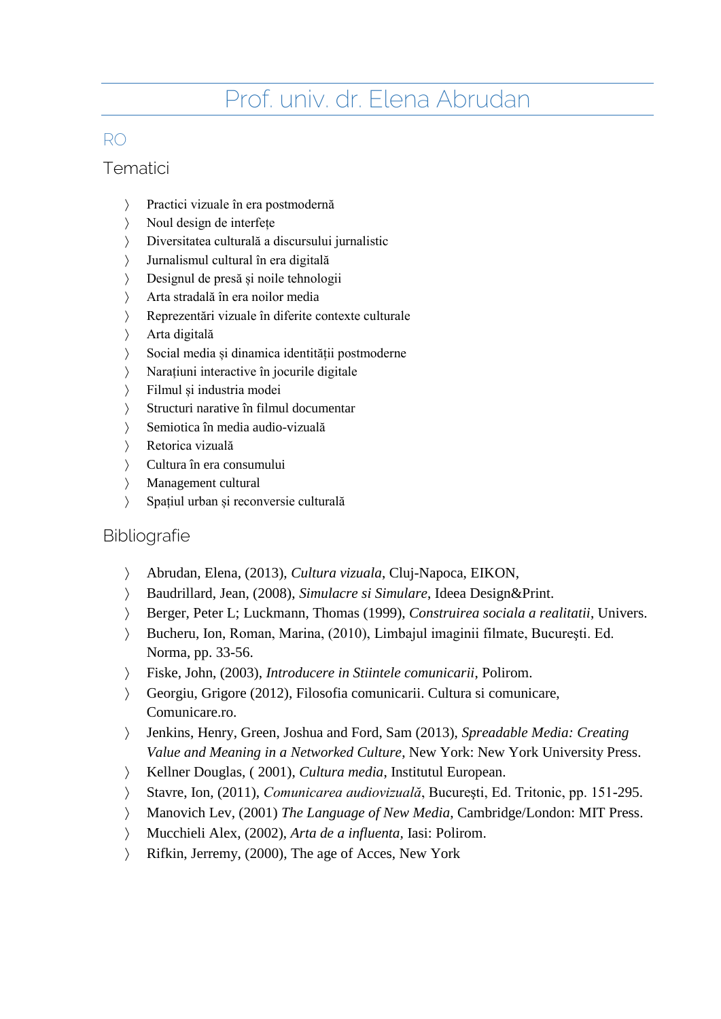# Prof. univ. dr. Elena Abrudan

# RO

## **Tematici**

- Practici vizuale în era postmodernă
- Noul design de interfețe
- Diversitatea culturală a discursului jurnalistic
- Jurnalismul cultural în era digitală
- Designul de presă și noile tehnologii
- Arta stradală în era noilor media
- Reprezentări vizuale în diferite contexte culturale
- Arta digitală
- Social media și dinamica identității postmoderne
- Narațiuni interactive în jocurile digitale
- Filmul și industria modei
- Structuri narative în filmul documentar
- Semiotica în media audio-vizuală
- Retorica vizuală
- Cultura în era consumului
- Management cultural
- > Spațiul urban și reconversie culturală

#### **Bibliografie**

- Abrudan, Elena, (2013), *Cultura vizuala*, Cluj-Napoca, EIKON,
- Baudrillard, Jean, (2008), *Simulacre si Simulare*, Ideea Design&Print.
- Berger, Peter L; Luckmann, Thomas (1999), *Construirea sociala a realitatii*, Univers.
- Bucheru, Ion, Roman, Marina, (2010), Limbajul imaginii filmate, Bucureşti. Ed. Norma, pp. 33-56.
- Fiske, John, (2003), *Introducere in Stiintele comunicarii*, Polirom.
- Georgiu, Grigore (2012), Filosofia comunicarii. Cultura si comunicare, Comunicare.ro.
- Jenkins, Henry, Green, Joshua and Ford, Sam (2013), *Spreadable Media: Creating Value and Meaning in a Networked Culture*, New York: New York University Press.
- Kellner Douglas, ( 2001), *Cultura media*, Institutul European.
- Stavre, Ion, (2011), *Comunicarea audiovizuală*, Bucureşti, Ed. Tritonic, pp. 151-295.
- Manovich Lev, (2001) *The Language of New Media*, Cambridge/London: MIT Press.
- Mucchieli Alex, (2002), *Arta de a influenta,* Iasi: Polirom.
- Rifkin, Jerremy, (2000), The age of Acces, New York